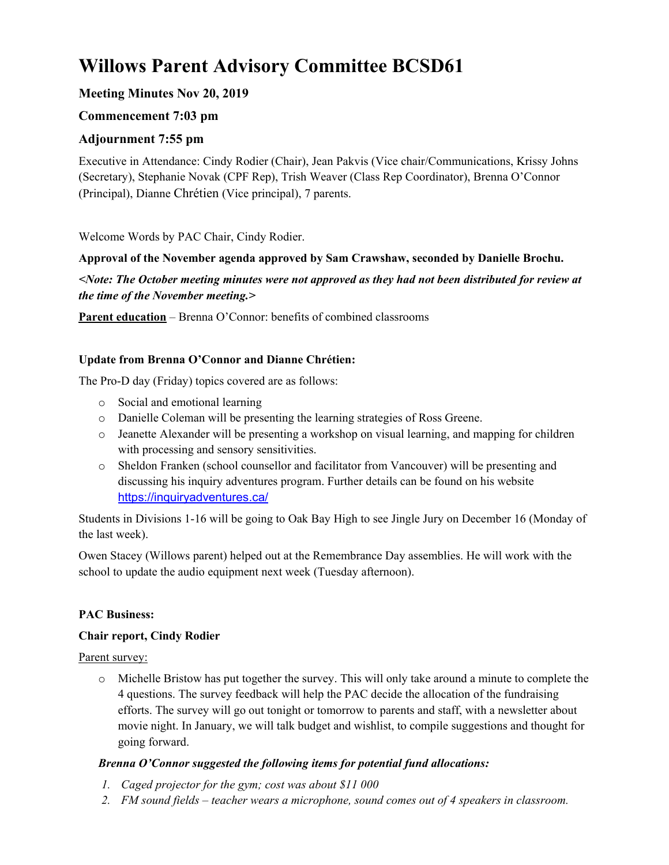# **Willows Parent Advisory Committee BCSD61**

# **Meeting Minutes Nov 20, 2019**

# **Commencement 7:03 pm**

# **Adjournment 7:55 pm**

Executive in Attendance: Cindy Rodier (Chair), Jean Pakvis (Vice chair/Communications, Krissy Johns (Secretary), Stephanie Novak (CPF Rep), Trish Weaver (Class Rep Coordinator), Brenna O'Connor (Principal), Dianne Chrétien (Vice principal), 7 parents.

Welcome Words by PAC Chair, Cindy Rodier.

## **Approval of the November agenda approved by Sam Crawshaw, seconded by Danielle Brochu.**

*<Note: The October meeting minutes were not approved as they had not been distributed for review at the time of the November meeting.>*

**Parent education** – Brenna O'Connor: benefits of combined classrooms

## **Update from Brenna O'Connor and Dianne Chrétien:**

The Pro-D day (Friday) topics covered are as follows:

- o Social and emotional learning
- o Danielle Coleman will be presenting the learning strategies of Ross Greene.
- o Jeanette Alexander will be presenting a workshop on visual learning, and mapping for children with processing and sensory sensitivities.
- o Sheldon Franken (school counsellor and facilitator from Vancouver) will be presenting and discussing his inquiry adventures program. Further details can be found on his website <https://inquiryadventures.ca/>

Students in Divisions 1-16 will be going to Oak Bay High to see Jingle Jury on December 16 (Monday of the last week).

Owen Stacey (Willows parent) helped out at the Remembrance Day assemblies. He will work with the school to update the audio equipment next week (Tuesday afternoon).

## **PAC Business:**

## **Chair report, Cindy Rodier**

Parent survey:

o Michelle Bristow has put together the survey. This will only take around a minute to complete the 4 questions. The survey feedback will help the PAC decide the allocation of the fundraising efforts. The survey will go out tonight or tomorrow to parents and staff, with a newsletter about movie night. In January, we will talk budget and wishlist, to compile suggestions and thought for going forward.

# *Brenna O'Connor suggested the following items for potential fund allocations:*

- *1. Caged projector for the gym; cost was about \$11 000*
- *2. FM sound fields – teacher wears a microphone, sound comes out of 4 speakers in classroom.*